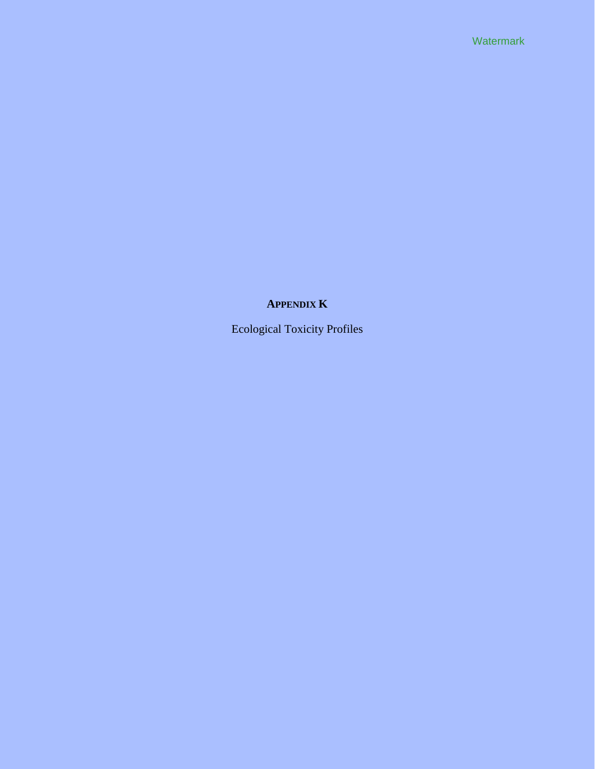Watermark

# **APPENDIX K**

Ecological Toxicity Profiles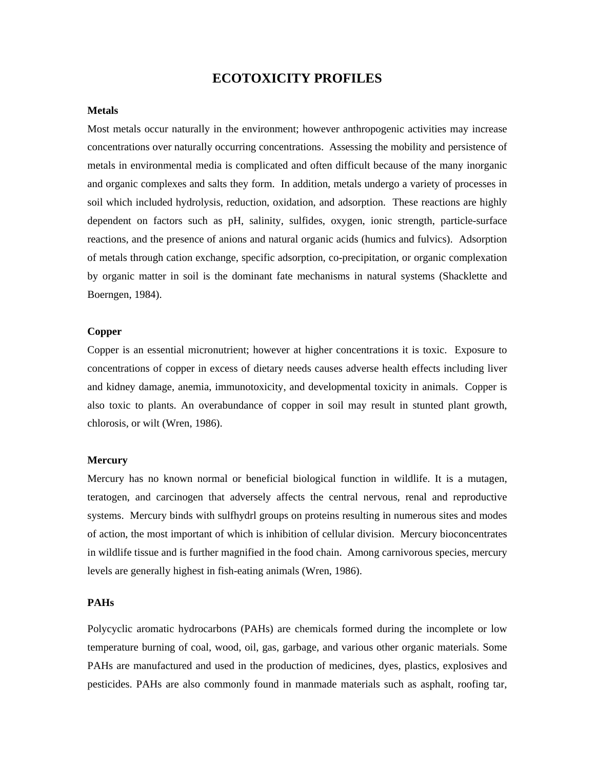# **ECOTOXICITY PROFILES**

#### **Metals**

Most metals occur naturally in the environment; however anthropogenic activities may increase concentrations over naturally occurring concentrations. Assessing the mobility and persistence of metals in environmental media is complicated and often difficult because of the many inorganic and organic complexes and salts they form. In addition, metals undergo a variety of processes in soil which included hydrolysis, reduction, oxidation, and adsorption. These reactions are highly dependent on factors such as pH, salinity, sulfides, oxygen, ionic strength, particle-surface reactions, and the presence of anions and natural organic acids (humics and fulvics). Adsorption of metals through cation exchange, specific adsorption, co-precipitation, or organic complexation by organic matter in soil is the dominant fate mechanisms in natural systems (Shacklette and Boerngen, 1984).

#### **Copper**

Copper is an essential micronutrient; however at higher concentrations it is toxic. Exposure to concentrations of copper in excess of dietary needs causes adverse health effects including liver and kidney damage, anemia, immunotoxicity, and developmental toxicity in animals. Copper is also toxic to plants. An overabundance of copper in soil may result in stunted plant growth, chlorosis, or wilt (Wren, 1986).

#### **Mercury**

Mercury has no known normal or beneficial biological function in wildlife. It is a mutagen, teratogen, and carcinogen that adversely affects the central nervous, renal and reproductive systems. Mercury binds with sulfhydrl groups on proteins resulting in numerous sites and modes of action, the most important of which is inhibition of cellular division. Mercury bioconcentrates in wildlife tissue and is further magnified in the food chain. Among carnivorous species, mercury levels are generally highest in fish-eating animals (Wren, 1986).

## **PAHs**

Polycyclic aromatic hydrocarbons (PAHs) are chemicals formed during the incomplete or low temperature burning of coal, wood, oil, gas, garbage, and various other organic materials. Some PAHs are manufactured and used in the production of medicines, dyes, plastics, explosives and pesticides. PAHs are also commonly found in manmade materials such as asphalt, roofing tar,